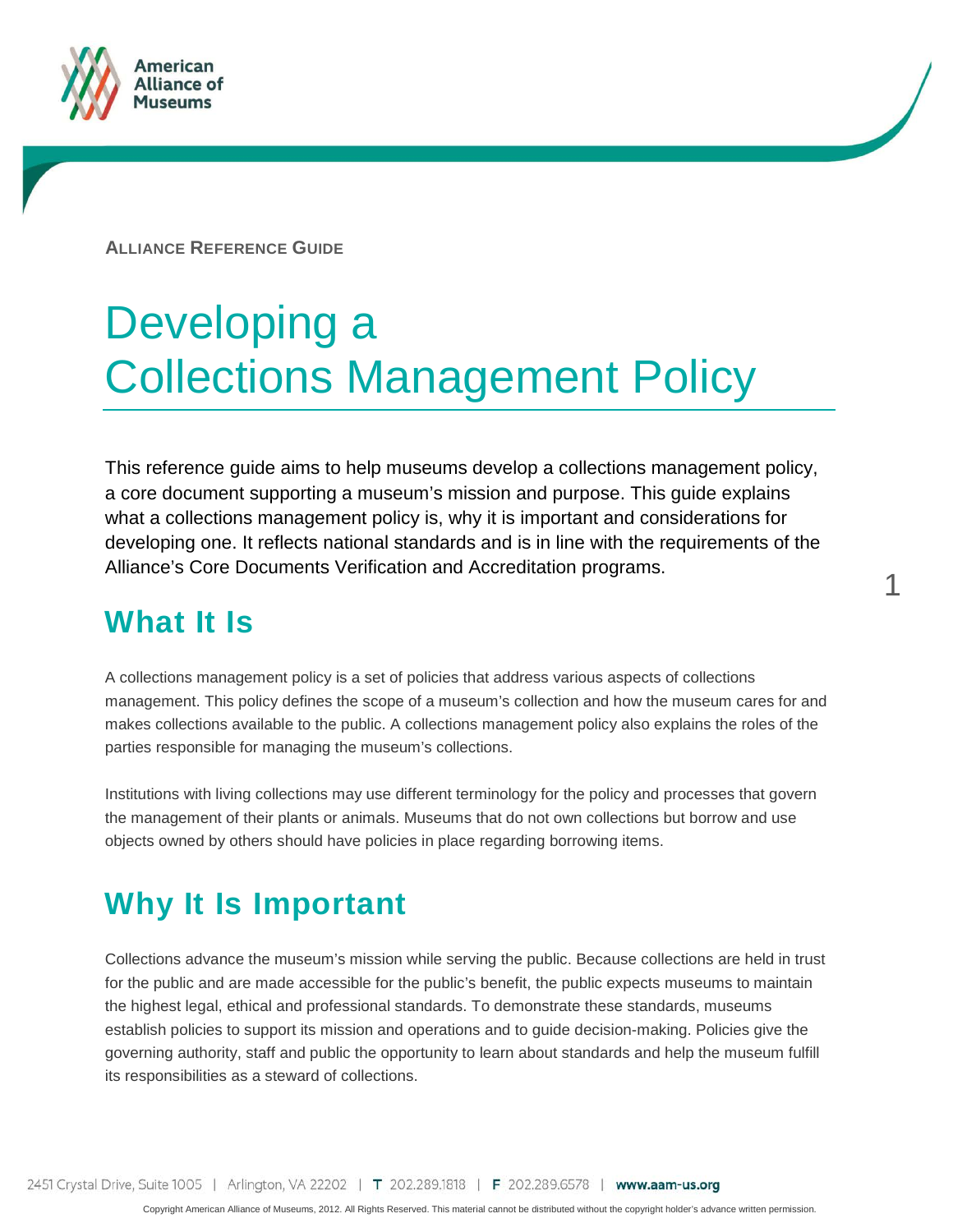

**ALLIANCE REFERENCE GUIDE**

# Developing a Collections Management Policy

This reference guide aims to help museums develop a collections management policy, a core document supporting a museum's mission and purpose. This guide explains what a collections management policy is, why it is important and considerations for developing one. It reflects national standards and is in line with the requirements of the Alliance's Core Documents Verification and Accreditation programs.

1

### **What It Is**

A collections management policy is a set of policies that address various aspects of collections management. This policy defines the scope of a museum's collection and how the museum cares for and makes collections available to the public. A collections management policy also explains the roles of the parties responsible for managing the museum's collections.

Institutions with living collections may use different terminology for the policy and processes that govern the management of their plants or animals. Museums that do not own collections but borrow and use objects owned by others should have policies in place regarding borrowing items.

### **Why It Is Important**

Collections advance the museum's mission while serving the public. Because collections are held in trust for the public and are made accessible for the public's benefit, the public expects museums to maintain the highest legal, ethical and professional standards. To demonstrate these standards, museums establish policies to support its mission and operations and to guide decision-making. Policies give the governing authority, staff and public the opportunity to learn about standards and help the museum fulfill its responsibilities as a steward of collections.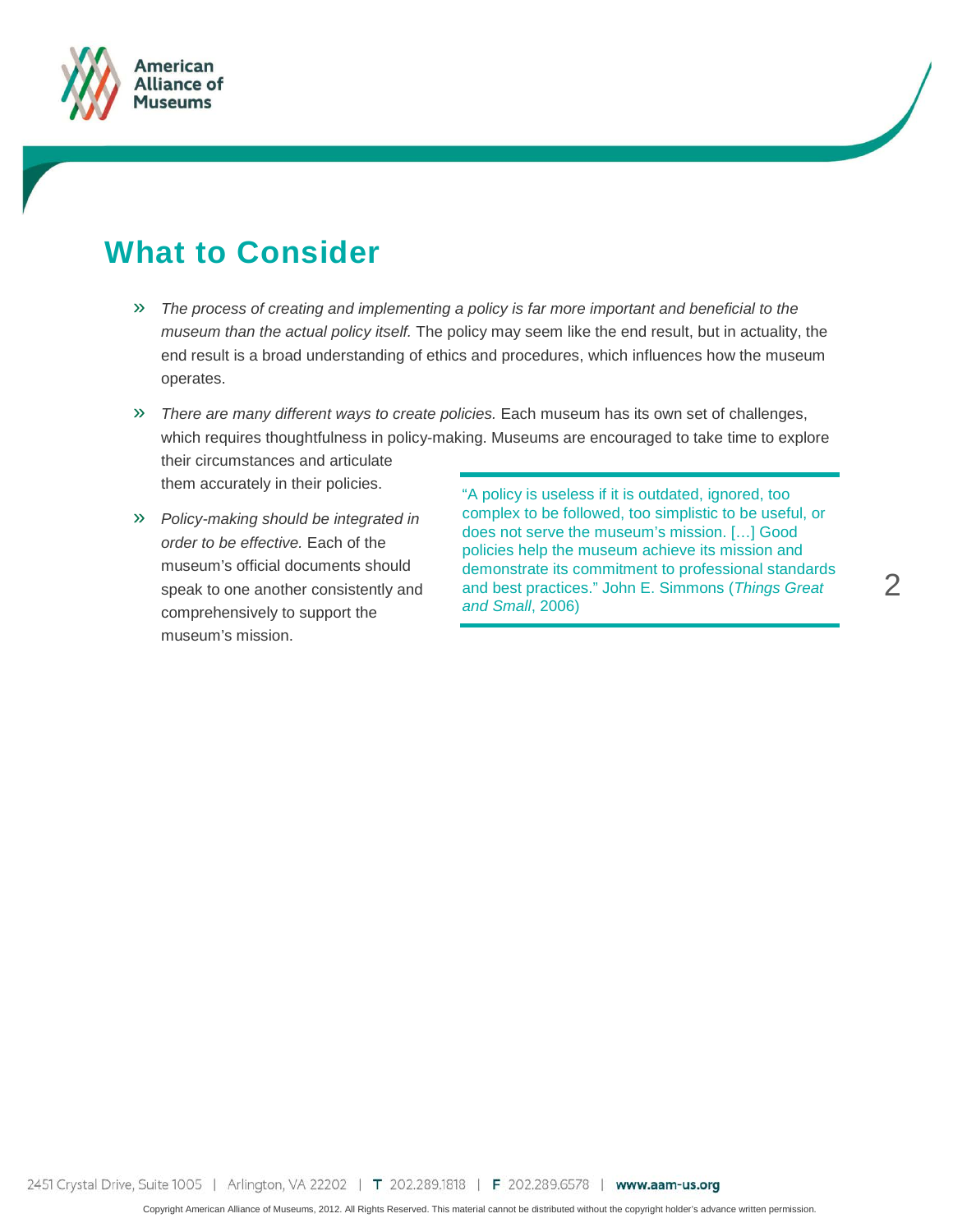

### **What to Consider**

- » *The process of creating and implementing a policy is far more important and beneficial to the museum than the actual policy itself.* The policy may seem like the end result, but in actuality, the end result is a broad understanding of ethics and procedures, which influences how the museum operates.
- » *There are many different ways to create policies.* Each museum has its own set of challenges, which requires thoughtfulness in policy-making. Museums are encouraged to take time to explore their circumstances and articulate them accurately in their policies.
- » *Policy-making should be integrated in order to be effective.* Each of the museum's official documents should speak to one another consistently and comprehensively to support the museum's mission.

"A policy is useless if it is outdated, ignored, too complex to be followed, too simplistic to be useful, or does not serve the museum's mission. […] Good policies help the museum achieve its mission and demonstrate its commitment to professional standards and best practices." John E. Simmons (*Things Great and Small*, 2006)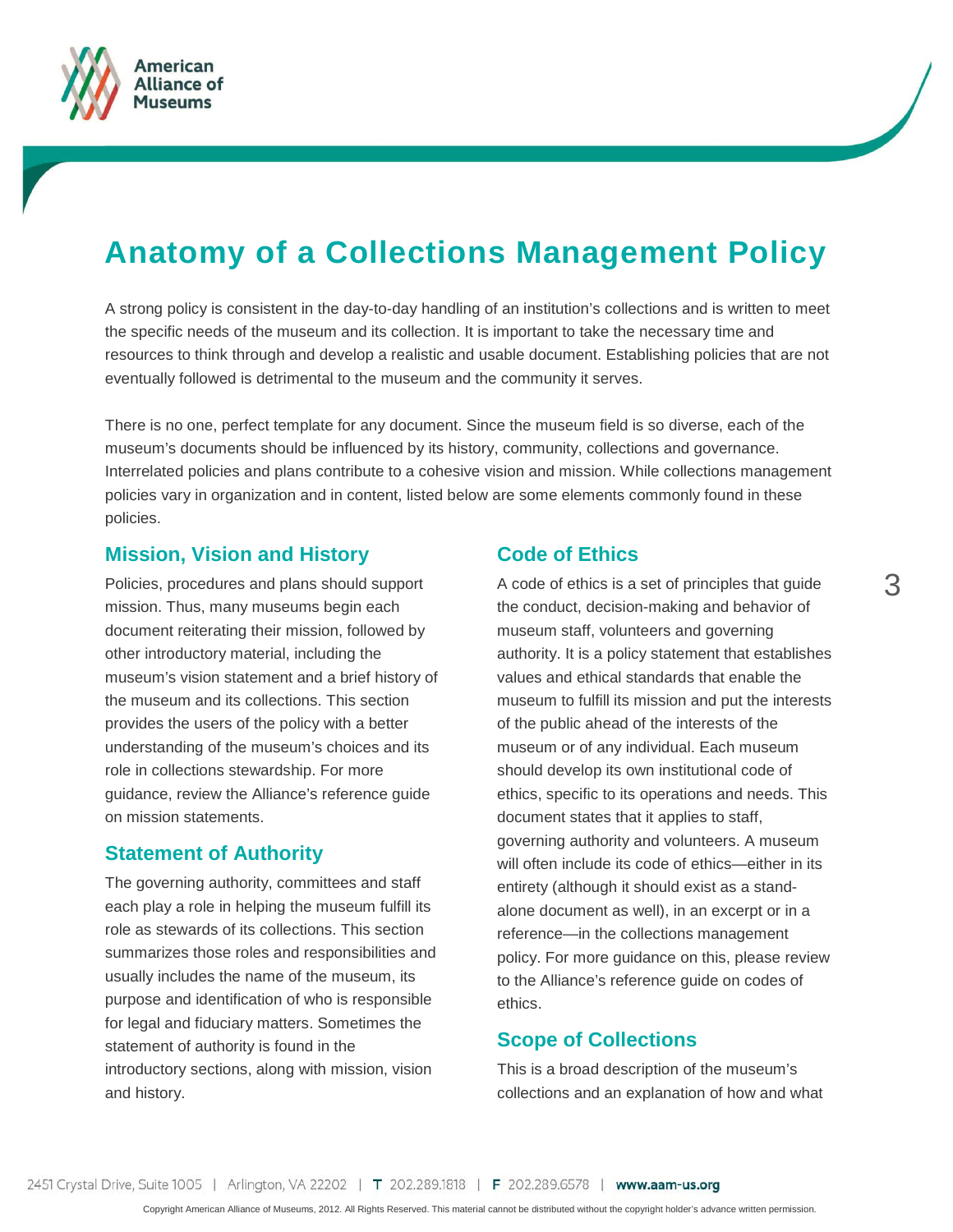

### **Anatomy of a Collections Management Policy**

A strong policy is consistent in the day-to-day handling of an institution's collections and is written to meet the specific needs of the museum and its collection. It is important to take the necessary time and resources to think through and develop a realistic and usable document. Establishing policies that are not eventually followed is detrimental to the museum and the community it serves.

There is no one, perfect template for any document. Since the museum field is so diverse, each of the museum's documents should be influenced by its history, community, collections and governance. Interrelated policies and plans contribute to a cohesive vision and mission. While collections management policies vary in organization and in content, listed below are some elements commonly found in these policies.

#### **Mission, Vision and History**

Policies, procedures and plans should support mission. Thus, many museums begin each document reiterating their mission, followed by other introductory material, including the museum's vision statement and a brief history of the museum and its collections. This section provides the users of the policy with a better understanding of the museum's choices and its role in collections stewardship. For more guidance, review the Alliance's reference guide on mission statements.

#### **Statement of Authority**

The governing authority, committees and staff each play a role in helping the museum fulfill its role as stewards of its collections. This section summarizes those roles and responsibilities and usually includes the name of the museum, its purpose and identification of who is responsible for legal and fiduciary matters. Sometimes the statement of authority is found in the introductory sections, along with mission, vision and history.

#### **Code of Ethics**

A code of ethics is a set of principles that guide the conduct, decision-making and behavior of museum staff, volunteers and governing authority. It is a policy statement that establishes values and ethical standards that enable the museum to fulfill its mission and put the interests of the public ahead of the interests of the museum or of any individual. Each museum should develop its own institutional code of ethics, specific to its operations and needs. This document states that it applies to staff, governing authority and volunteers. A museum will often include its code of ethics—either in its entirety (although it should exist as a standalone document as well), in an excerpt or in a reference—in the collections management policy. For more guidance on this, please review to the Alliance's reference guide on codes of ethics.

#### **Scope of Collections**

This is a broad description of the museum's collections and an explanation of how and what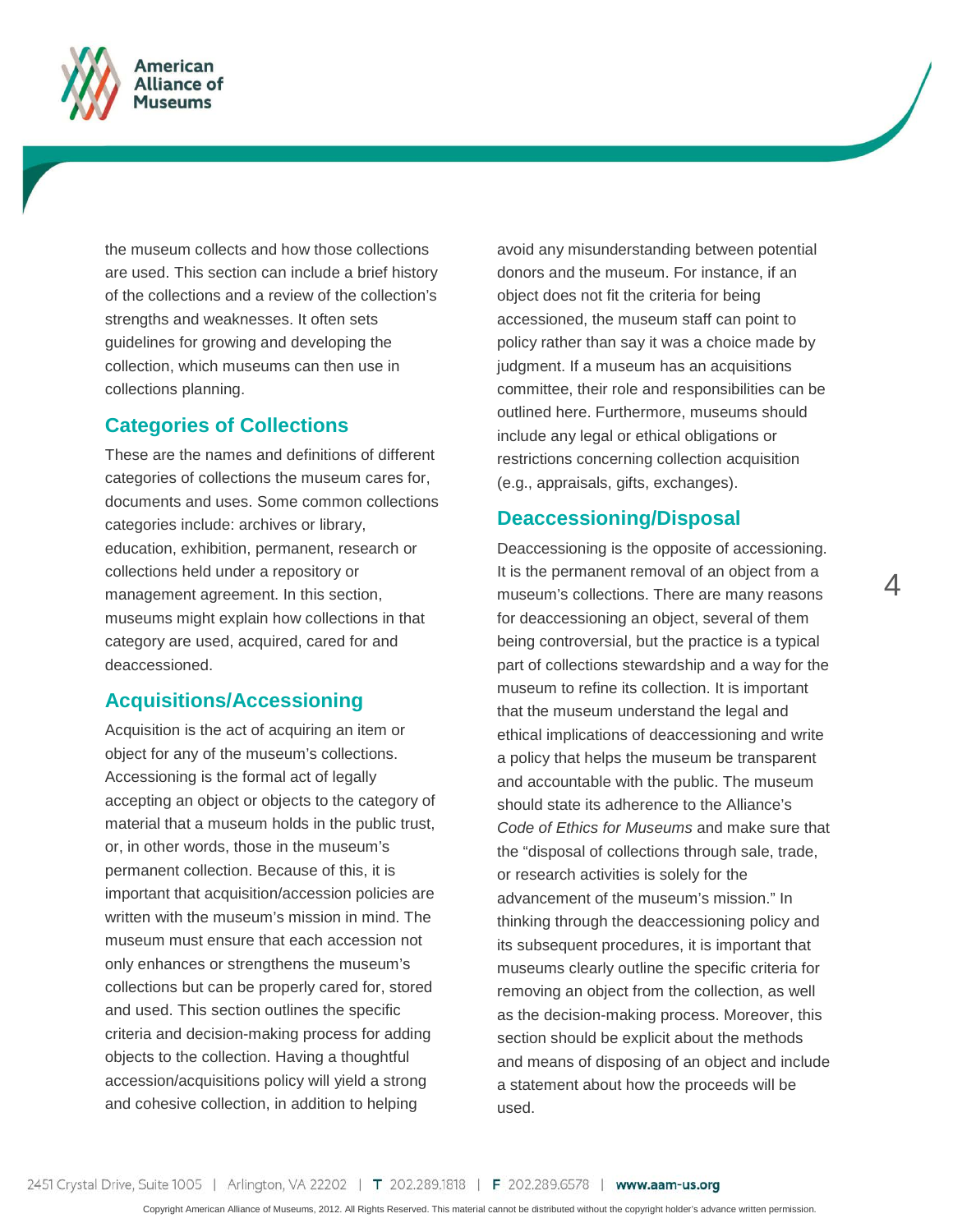

the museum collects and how those collections are used. This section can include a brief history of the collections and a review of the collection's strengths and weaknesses. It often sets guidelines for growing and developing the collection, which museums can then use in collections planning.

#### **Categories of Collections**

These are the names and definitions of different categories of collections the museum cares for, documents and uses. Some common collections categories include: archives or library, education, exhibition, permanent, research or collections held under a repository or management agreement. In this section, museums might explain how collections in that category are used, acquired, cared for and deaccessioned.

#### **Acquisitions/Accessioning**

Acquisition is the act of acquiring an item or object for any of the museum's collections. Accessioning is the formal act of legally accepting an object or objects to the category of material that a museum holds in the public trust, or, in other words, those in the museum's permanent collection. Because of this, it is important that acquisition/accession policies are written with the museum's mission in mind. The museum must ensure that each accession not only enhances or strengthens the museum's collections but can be properly cared for, stored and used. This section outlines the specific criteria and decision-making process for adding objects to the collection. Having a thoughtful accession/acquisitions policy will yield a strong and cohesive collection, in addition to helping

avoid any misunderstanding between potential donors and the museum. For instance, if an object does not fit the criteria for being accessioned, the museum staff can point to policy rather than say it was a choice made by judgment. If a museum has an acquisitions committee, their role and responsibilities can be outlined here. Furthermore, museums should include any legal or ethical obligations or restrictions concerning collection acquisition (e.g., appraisals, gifts, exchanges).

#### **Deaccessioning/Disposal**

Deaccessioning is the opposite of accessioning. It is the permanent removal of an object from a museum's collections. There are many reasons for deaccessioning an object, several of them being controversial, but the practice is a typical part of collections stewardship and a way for the museum to refine its collection. It is important that the museum understand the legal and ethical implications of deaccessioning and write a policy that helps the museum be transparent and accountable with the public. The museum should state its adherence to the Alliance's *Code of Ethics for Museums* and make sure that the "disposal of collections through sale, trade, or research activities is solely for the advancement of the museum's mission." In thinking through the deaccessioning policy and its subsequent procedures, it is important that museums clearly outline the specific criteria for removing an object from the collection, as well as the decision-making process. Moreover, this section should be explicit about the methods and means of disposing of an object and include a statement about how the proceeds will be used.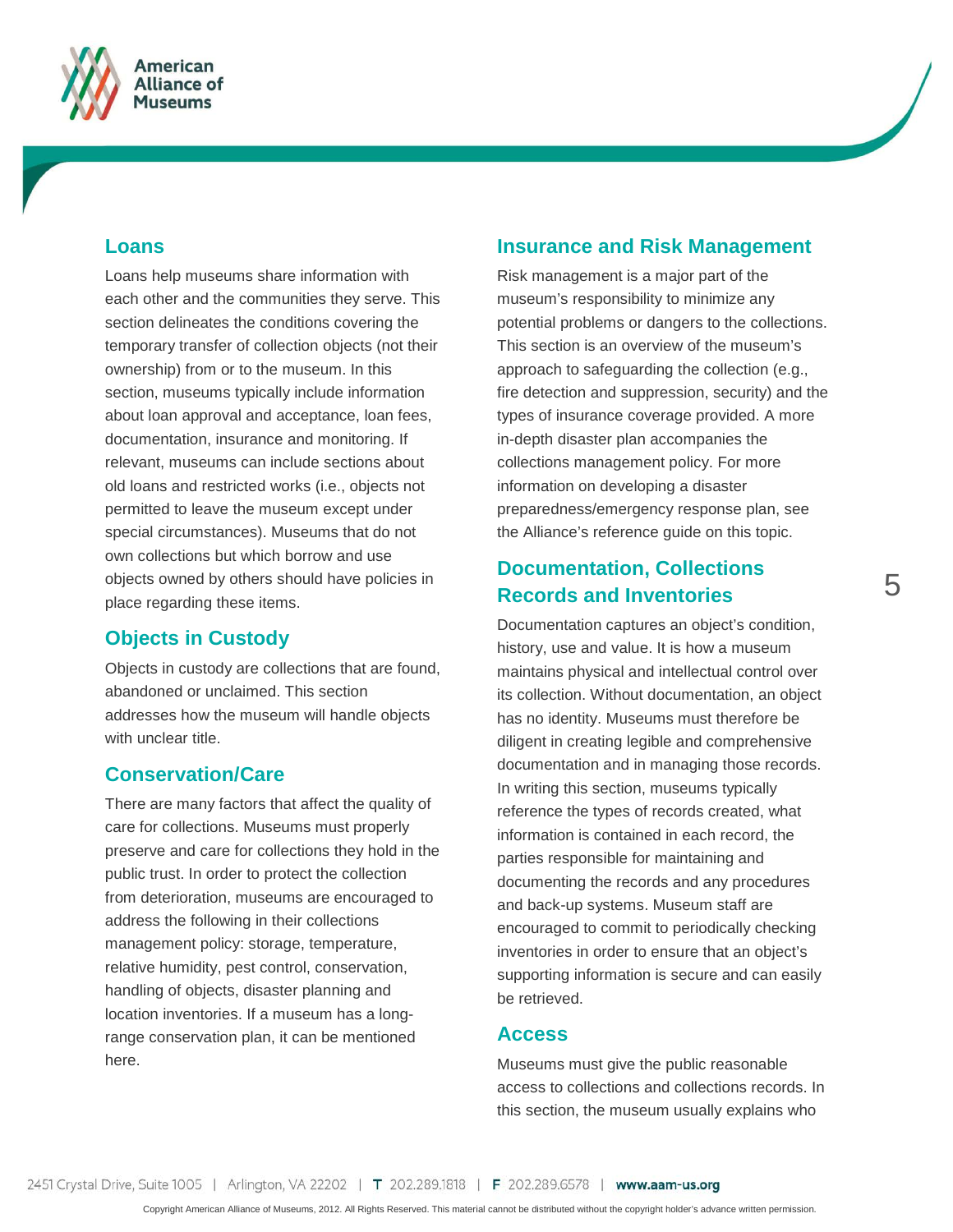

#### **Loans**

Loans help museums share information with each other and the communities they serve. This section delineates the conditions covering the temporary transfer of collection objects (not their ownership) from or to the museum. In this section, museums typically include information about loan approval and acceptance, loan fees, documentation, insurance and monitoring. If relevant, museums can include sections about old loans and restricted works (i.e., objects not permitted to leave the museum except under special circumstances). Museums that do not own collections but which borrow and use objects owned by others should have policies in place regarding these items.

#### **Objects in Custody**

Objects in custody are collections that are found, abandoned or unclaimed. This section addresses how the museum will handle objects with unclear title.

#### **Conservation/Care**

There are many factors that affect the quality of care for collections. Museums must properly preserve and care for collections they hold in the public trust. In order to protect the collection from deterioration, museums are encouraged to address the following in their collections management policy: storage, temperature, relative humidity, pest control, conservation, handling of objects, disaster planning and location inventories. If a museum has a longrange conservation plan, it can be mentioned here.

### **Insurance and Risk Management**

Risk management is a major part of the museum's responsibility to minimize any potential problems or dangers to the collections. This section is an overview of the museum's approach to safeguarding the collection (e.g., fire detection and suppression, security) and the types of insurance coverage provided. A more in-depth disaster plan accompanies the collections management policy. For more information on developing a disaster preparedness/emergency response plan, see the Alliance's reference guide on this topic.

### **Documentation, Collections Records and Inventories**

Documentation captures an object's condition, history, use and value. It is how a museum maintains physical and intellectual control over its collection. Without documentation, an object has no identity. Museums must therefore be diligent in creating legible and comprehensive documentation and in managing those records. In writing this section, museums typically reference the types of records created, what information is contained in each record, the parties responsible for maintaining and documenting the records and any procedures and back-up systems. Museum staff are encouraged to commit to periodically checking inventories in order to ensure that an object's supporting information is secure and can easily be retrieved.

#### **Access**

Museums must give the public reasonable access to collections and collections records. In this section, the museum usually explains who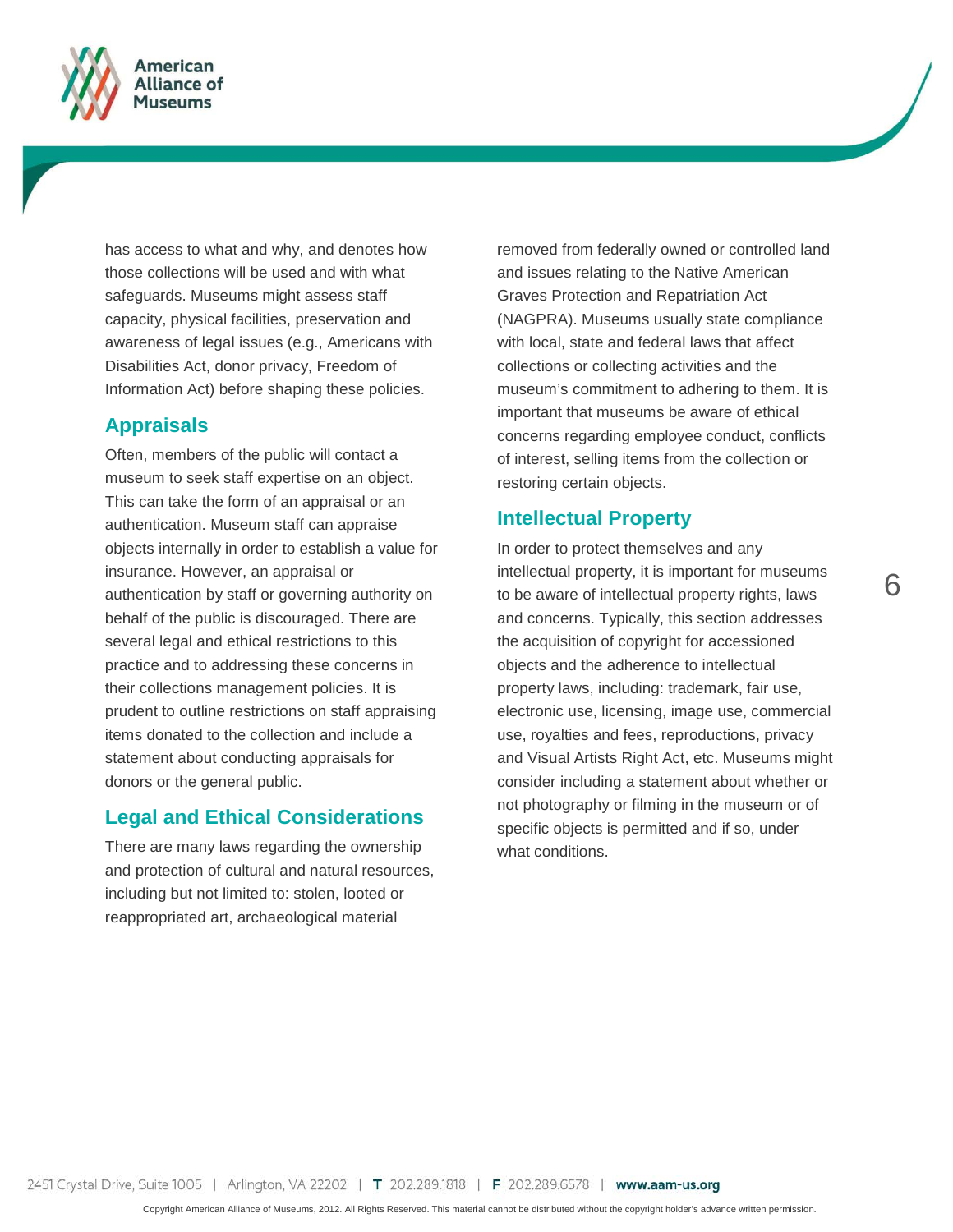

has access to what and why, and denotes how those collections will be used and with what safeguards. Museums might assess staff capacity, physical facilities, preservation and awareness of legal issues (e.g., Americans with Disabilities Act, donor privacy, Freedom of Information Act) before shaping these policies.

#### **Appraisals**

Often, members of the public will contact a museum to seek staff expertise on an object. This can take the form of an appraisal or an authentication. Museum staff can appraise objects internally in order to establish a value for insurance. However, an appraisal or authentication by staff or governing authority on behalf of the public is discouraged. There are several legal and ethical restrictions to this practice and to addressing these concerns in their collections management policies. It is prudent to outline restrictions on staff appraising items donated to the collection and include a statement about conducting appraisals for donors or the general public.

#### **Legal and Ethical Considerations**

There are many laws regarding the ownership and protection of cultural and natural resources, including but not limited to: stolen, looted or reappropriated art, archaeological material

removed from federally owned or controlled land and issues relating to the Native American Graves Protection and Repatriation Act (NAGPRA). Museums usually state compliance with local, state and federal laws that affect collections or collecting activities and the museum's commitment to adhering to them. It is important that museums be aware of ethical concerns regarding employee conduct, conflicts of interest, selling items from the collection or restoring certain objects.

#### **Intellectual Property**

In order to protect themselves and any intellectual property, it is important for museums to be aware of intellectual property rights, laws and concerns. Typically, this section addresses the acquisition of copyright for accessioned objects and the adherence to intellectual property laws, including: trademark, fair use, electronic use, licensing, image use, commercial use, royalties and fees, reproductions, privacy and Visual Artists Right Act, etc. Museums might consider including a statement about whether or not photography or filming in the museum or of specific objects is permitted and if so, under what conditions.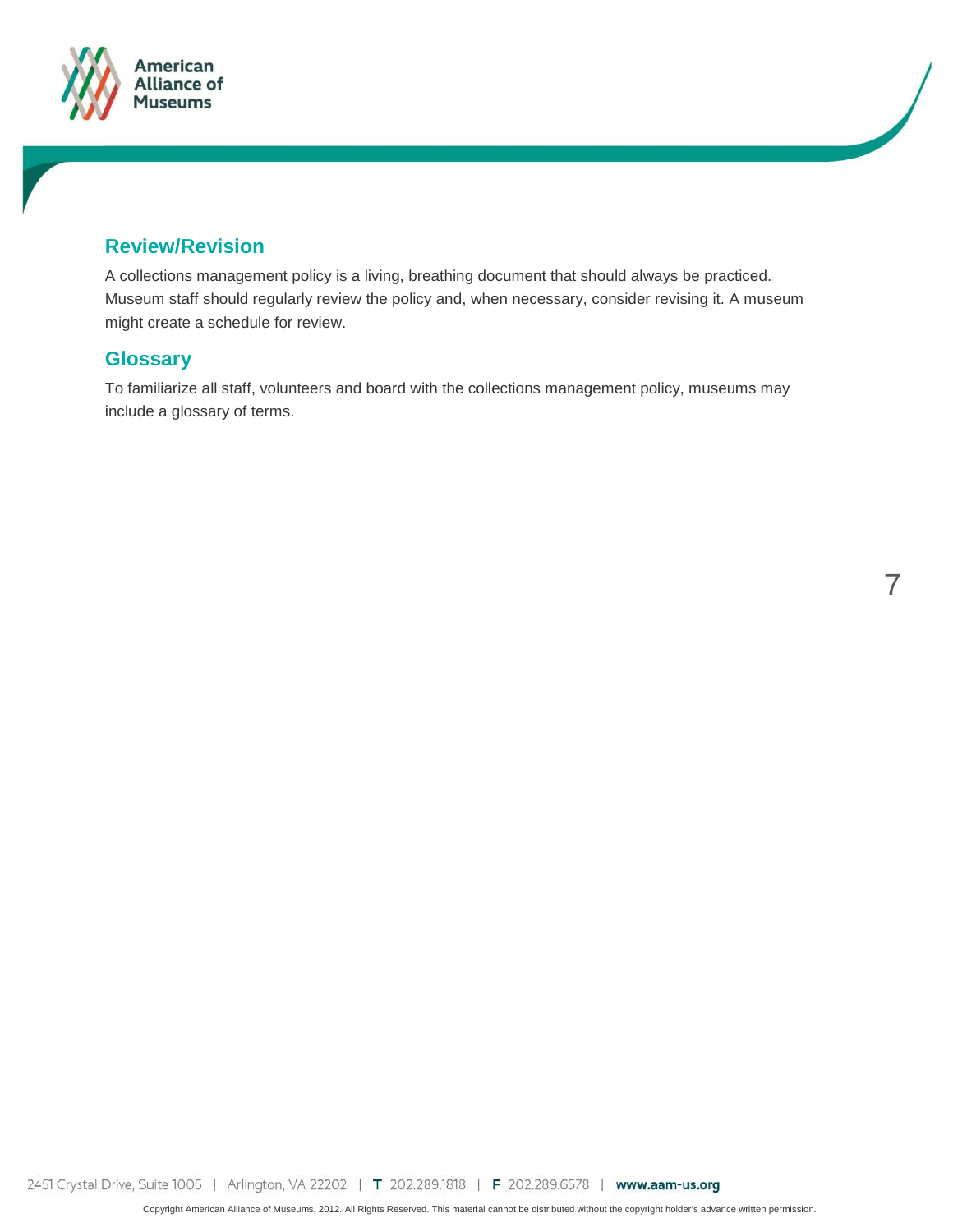



A collections management policy is a living, breathing document that should always be practiced. Museum staff should regularly review the policy and, when necessary, consider revising it. A museum might create a schedule for review.

#### **Glossary**

To familiarize all staff, volunteers and board with the collections management policy, museums may include a glossary of terms.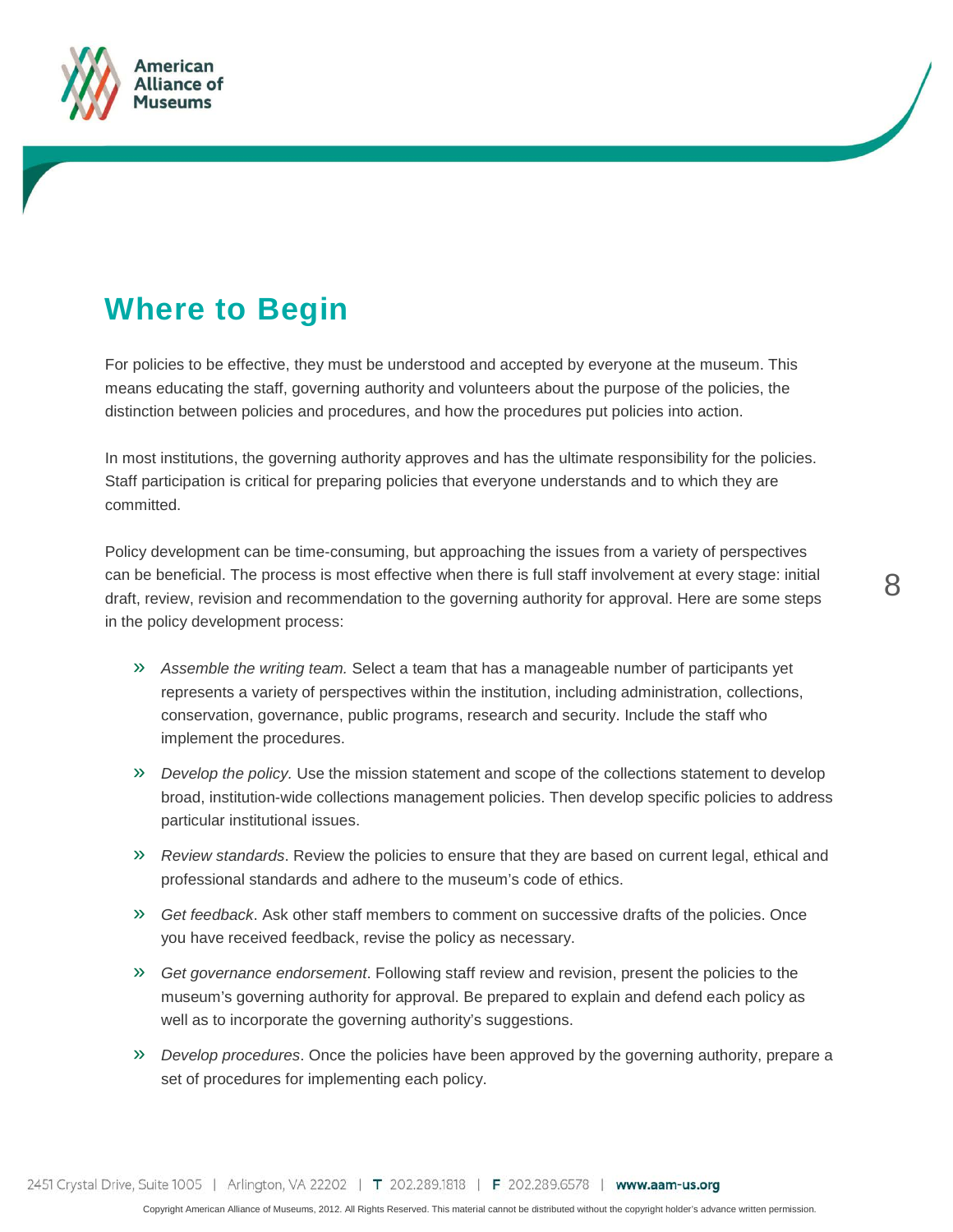![](_page_7_Picture_0.jpeg)

## **Where to Begin**

For policies to be effective, they must be understood and accepted by everyone at the museum. This means educating the staff, governing authority and volunteers about the purpose of the policies, the distinction between policies and procedures, and how the procedures put policies into action.

In most institutions, the governing authority approves and has the ultimate responsibility for the policies. Staff participation is critical for preparing policies that everyone understands and to which they are committed.

Policy development can be time-consuming, but approaching the issues from a variety of perspectives can be beneficial. The process is most effective when there is full staff involvement at every stage: initial draft, review, revision and recommendation to the governing authority for approval. Here are some steps in the policy development process:

- » *Assemble the writing team.* Select a team that has a manageable number of participants yet represents a variety of perspectives within the institution, including administration, collections, conservation, governance, public programs, research and security. Include the staff who implement the procedures.
- » *Develop the policy.* Use the mission statement and scope of the collections statement to develop broad, institution-wide collections management policies. Then develop specific policies to address particular institutional issues.
- » *Review standards*. Review the policies to ensure that they are based on current legal, ethical and professional standards and adhere to the museum's code of ethics.
- » *Get feedback*. Ask other staff members to comment on successive drafts of the policies. Once you have received feedback, revise the policy as necessary.
- » *Get governance endorsement*. Following staff review and revision, present the policies to the museum's governing authority for approval. Be prepared to explain and defend each policy as well as to incorporate the governing authority's suggestions.
- » *Develop procedures*. Once the policies have been approved by the governing authority, prepare a set of procedures for implementing each policy.

2451 Crystal Drive, Suite 1005 | Arlington, VA 22202 | T 202.289.1818 | F 202.289.6578 | www.aam-us.org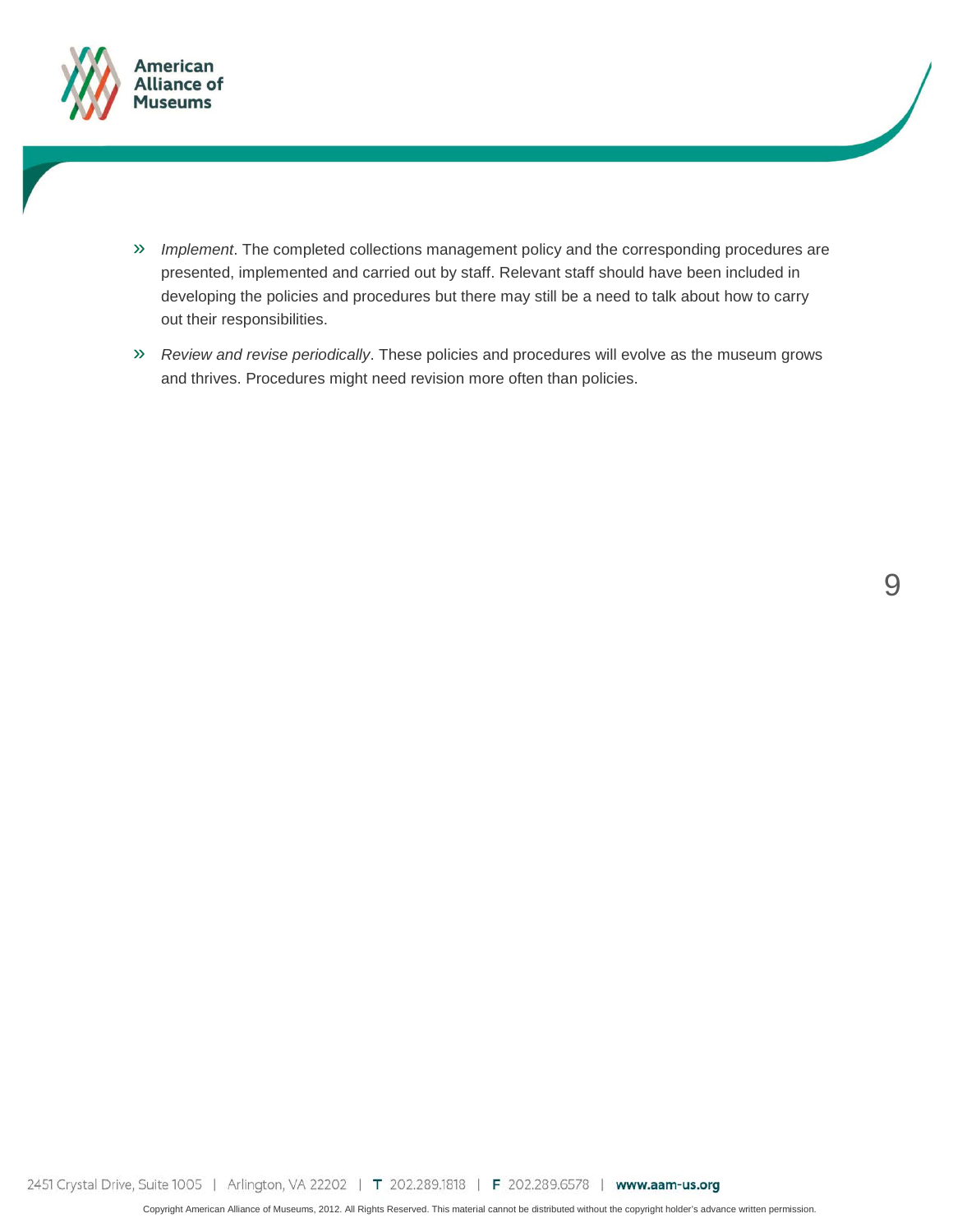![](_page_8_Picture_0.jpeg)

- » *Implement*. The completed collections management policy and the corresponding procedures are presented, implemented and carried out by staff. Relevant staff should have been included in developing the policies and procedures but there may still be a need to talk about how to carry out their responsibilities.
- » *Review and revise periodically*. These policies and procedures will evolve as the museum grows and thrives. Procedures might need revision more often than policies.

9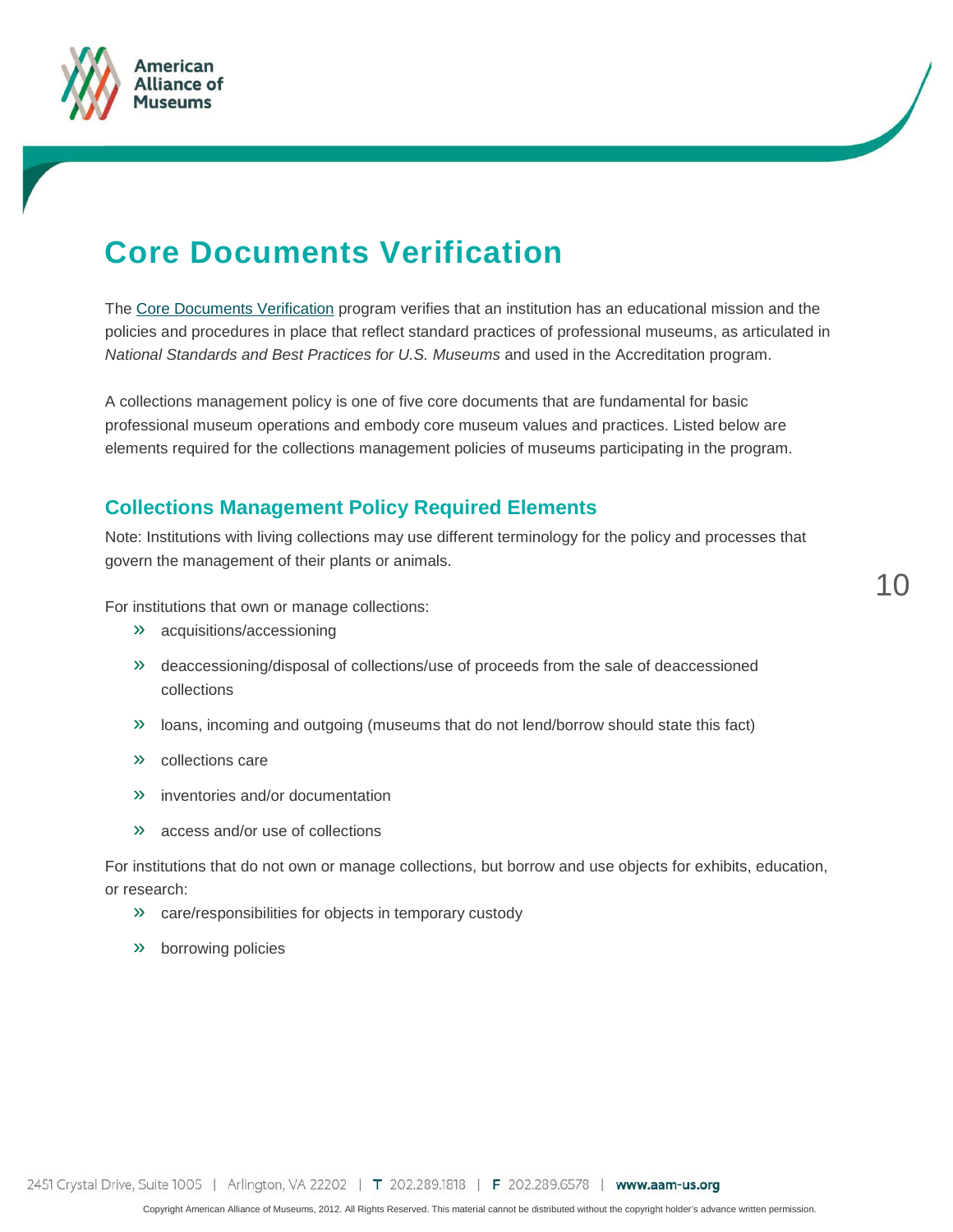![](_page_9_Picture_0.jpeg)

![](_page_9_Picture_1.jpeg)

### **Core Documents Verification**

The [Core Documents Verification](http://aam-us.org/resources/assessment-programs/core-documents) program verifies that an institution has an educational mission and the policies and procedures in place that reflect standard practices of professional museums, as articulated in *National Standards and Best Practices for U.S. Museums* and used in the Accreditation program.

A collections management policy is one of five core documents that are fundamental for basic professional museum operations and embody core museum values and practices. Listed below are elements required for the collections management policies of museums participating in the program.

#### **Collections Management Policy Required Elements**

Note: Institutions with living collections may use different terminology for the policy and processes that govern the management of their plants or animals.

For institutions that own or manage collections:

- » acquisitions/accessioning
- » deaccessioning/disposal of collections/use of proceeds from the sale of deaccessioned collections
- » loans, incoming and outgoing (museums that do not lend/borrow should state this fact)
- » collections care
- » inventories and/or documentation
- » access and/or use of collections

For institutions that do not own or manage collections, but borrow and use objects for exhibits, education, or research:

- » care/responsibilities for objects in temporary custody
- » borrowing policies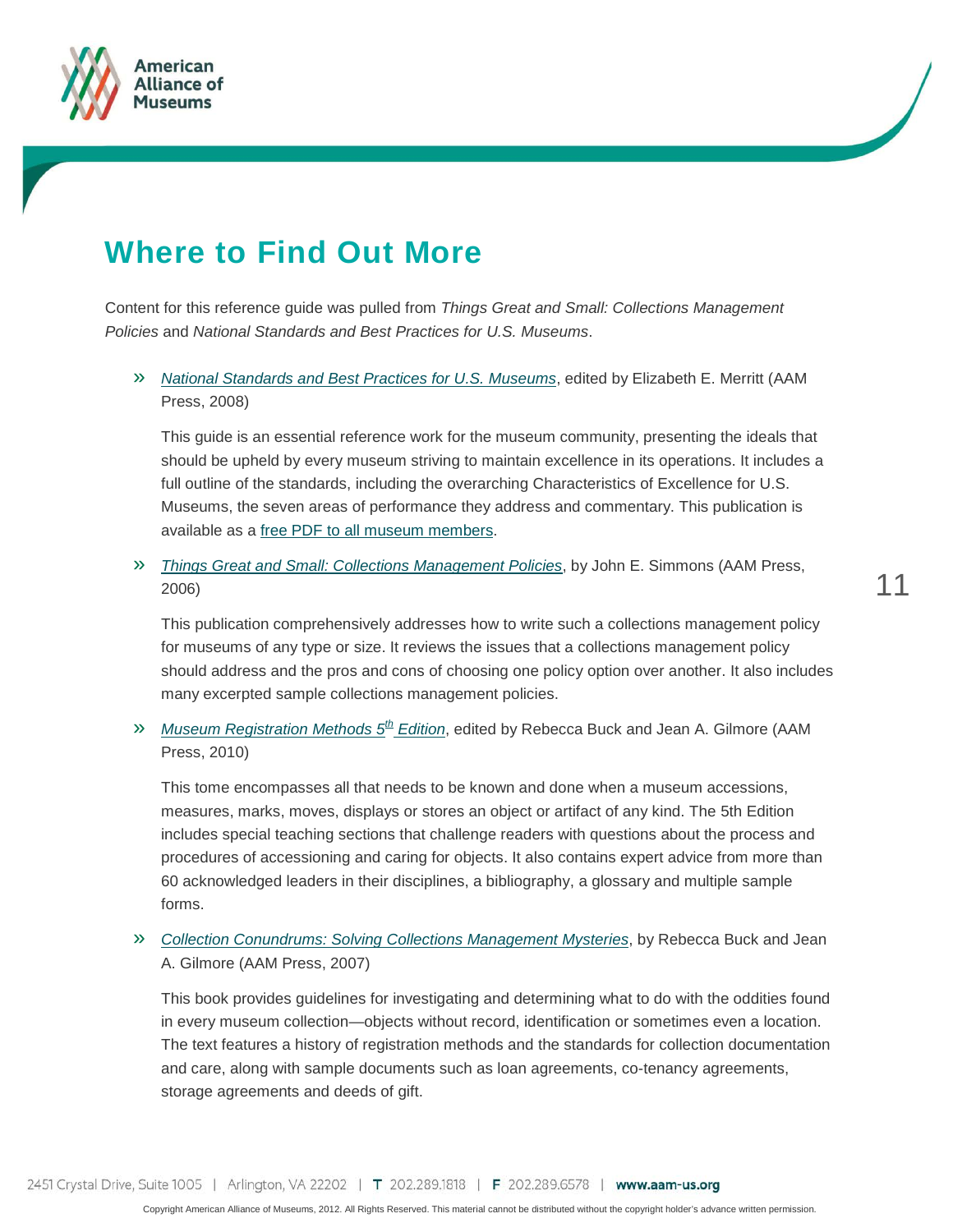![](_page_10_Picture_0.jpeg)

![](_page_10_Picture_1.jpeg)

## **Where to Find Out More**

Content for this reference guide was pulled from *Things Great and Small: Collections Management Policies* and *National Standards and Best Practices for U.S. Museums*.

#### » *[National Standards and Best Practices for U.S. Museums](https://aam-us.org/ProductCatalog/Product?ID=217)*, edited by Elizabeth E. Merritt (AAM Press, 2008)

This guide is an essential reference work for the museum community, presenting the ideals that should be upheld by every museum striving to maintain excellence in its operations. It includes a full outline of the standards, including the overarching Characteristics of Excellence for U.S. Museums, the seven areas of performance they address and commentary. This publication is available as a [free PDF to all museum members.](https://aam-us.org/ProductCatalog/Product?ID=3410)

#### » *[Things Great and Small: Collections Management Policies](https://aam-us.org/ProductCatalog/Product?ID=193)*, by John E. Simmons (AAM Press, 2006)

This publication comprehensively addresses how to write such a collections management policy for museums of any type or size. It reviews the issues that a collections management policy should address and the pros and cons of choosing one policy option over another. It also includes many excerpted sample collections management policies.

#### » *[Museum Registration Methods 5](https://aam-us.org/ProductCatalog/Product?ID=226)th Edition*, edited by Rebecca Buck and Jean A. Gilmore (AAM Press, 2010)

This tome encompasses all that needs to be known and done when a museum accessions, measures, marks, moves, displays or stores an object or artifact of any kind. The 5th Edition includes special teaching sections that challenge readers with questions about the process and procedures of accessioning and caring for objects. It also contains expert advice from more than 60 acknowledged leaders in their disciplines, a bibliography, a glossary and multiple sample forms.

#### » *[Collection Conundrums: Solving Collections Management Mysteries](https://aam-us.org/ProductCatalog/Product?ID=208)*, by Rebecca Buck and Jean A. Gilmore (AAM Press, 2007)

This book provides guidelines for investigating and determining what to do with the oddities found in every museum collection—objects without record, identification or sometimes even a location. The text features a history of registration methods and the standards for collection documentation and care, along with sample documents such as loan agreements, co-tenancy agreements, storage agreements and deeds of gift.